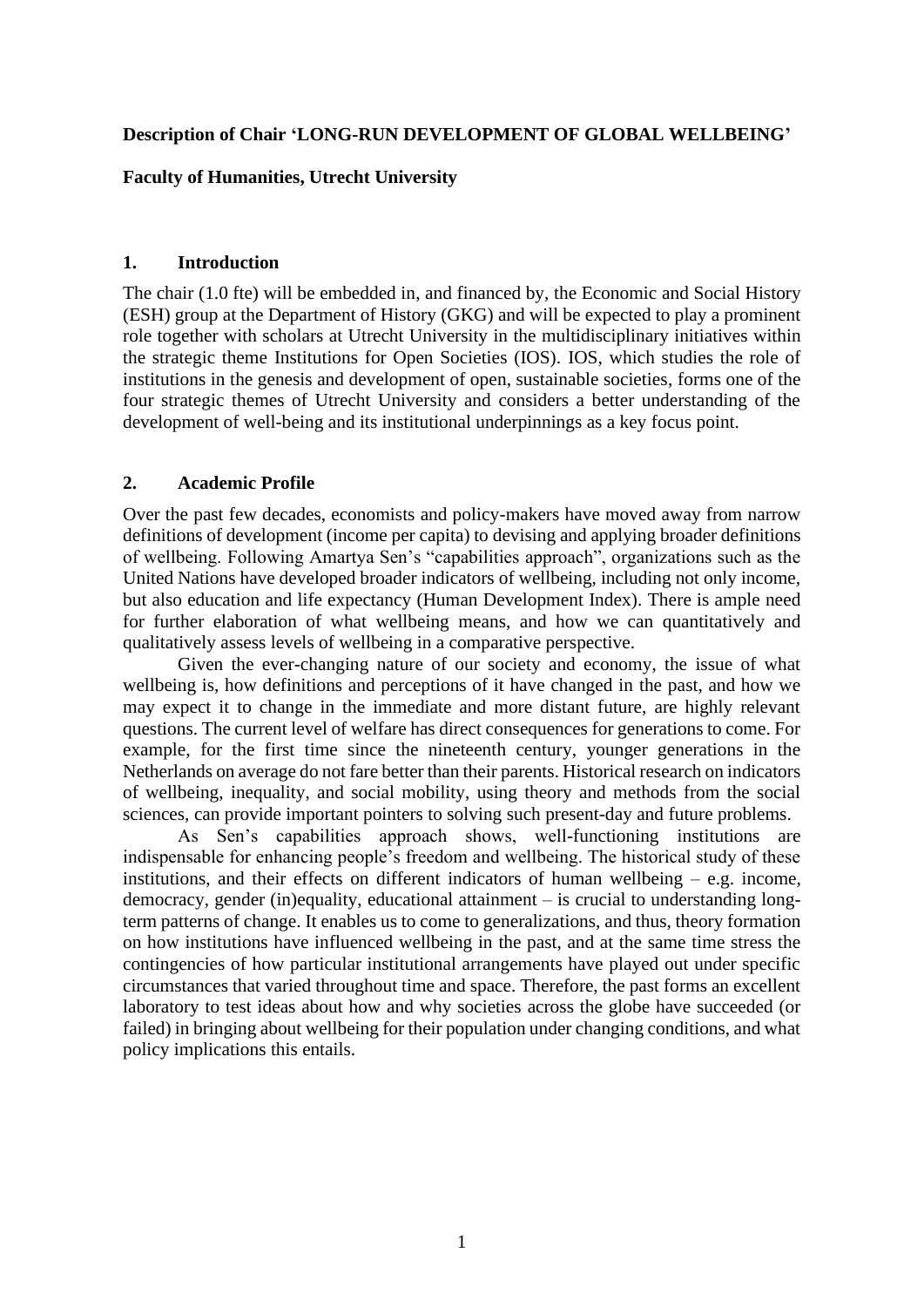## **Description of Chair 'LONG-RUN DEVELOPMENT OF GLOBAL WELLBEING'**

#### **Faculty of Humanities, Utrecht University**

### **1. Introduction**

The chair (1.0 fte) will be embedded in, and financed by, the Economic and Social History (ESH) group at the Department of History (GKG) and will be expected to play a prominent role together with scholars at Utrecht University in the multidisciplinary initiatives within the strategic theme Institutions for Open Societies (IOS). IOS, which studies the role of institutions in the genesis and development of open, sustainable societies, forms one of the four strategic themes of Utrecht University and considers a better understanding of the development of well-being and its institutional underpinnings as a key focus point.

## **2. Academic Profile**

Over the past few decades, economists and policy-makers have moved away from narrow definitions of development (income per capita) to devising and applying broader definitions of wellbeing. Following Amartya Sen's "capabilities approach", organizations such as the United Nations have developed broader indicators of wellbeing, including not only income, but also education and life expectancy (Human Development Index). There is ample need for further elaboration of what wellbeing means, and how we can quantitatively and qualitatively assess levels of wellbeing in a comparative perspective.

Given the ever-changing nature of our society and economy, the issue of what wellbeing is, how definitions and perceptions of it have changed in the past, and how we may expect it to change in the immediate and more distant future, are highly relevant questions. The current level of welfare has direct consequences for generations to come. For example, for the first time since the nineteenth century, younger generations in the Netherlands on average do not fare better than their parents. Historical research on indicators of wellbeing, inequality, and social mobility, using theory and methods from the social sciences, can provide important pointers to solving such present-day and future problems.

As Sen's capabilities approach shows, well-functioning institutions are indispensable for enhancing people's freedom and wellbeing. The historical study of these institutions, and their effects on different indicators of human wellbeing  $-$  e.g. income, democracy, gender (in)equality, educational attainment – is crucial to understanding longterm patterns of change. It enables us to come to generalizations, and thus, theory formation on how institutions have influenced wellbeing in the past, and at the same time stress the contingencies of how particular institutional arrangements have played out under specific circumstances that varied throughout time and space. Therefore, the past forms an excellent laboratory to test ideas about how and why societies across the globe have succeeded (or failed) in bringing about wellbeing for their population under changing conditions, and what policy implications this entails.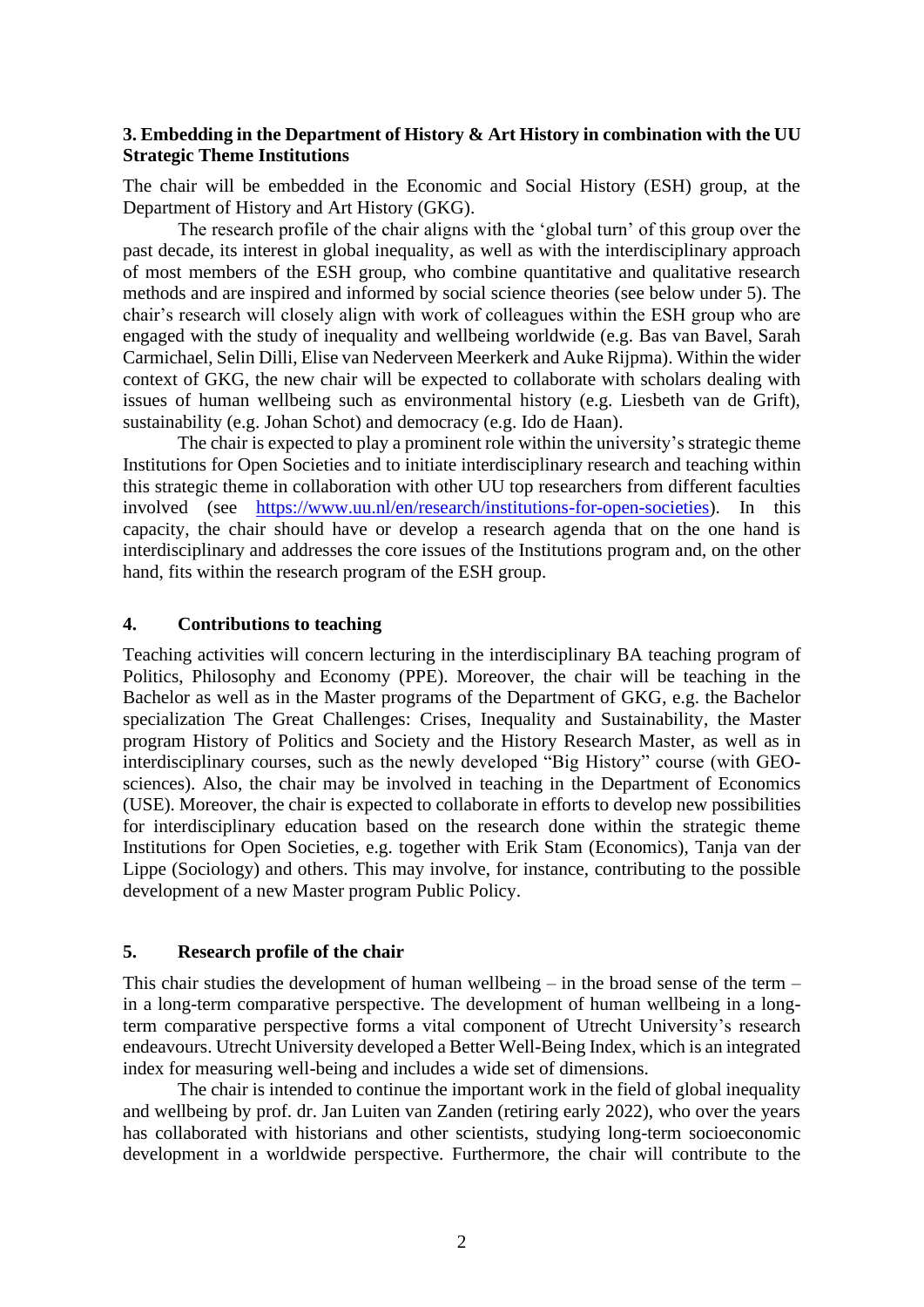## **3. Embedding in the Department of History & Art History in combination with the UU Strategic Theme Institutions**

The chair will be embedded in the Economic and Social History (ESH) group, at the Department of History and Art History (GKG).

The research profile of the chair aligns with the 'global turn' of this group over the past decade, its interest in global inequality, as well as with the interdisciplinary approach of most members of the ESH group, who combine quantitative and qualitative research methods and are inspired and informed by social science theories (see below under 5). The chair's research will closely align with work of colleagues within the ESH group who are engaged with the study of inequality and wellbeing worldwide (e.g. Bas van Bavel, Sarah Carmichael, Selin Dilli, Elise van Nederveen Meerkerk and Auke Rijpma). Within the wider context of GKG, the new chair will be expected to collaborate with scholars dealing with issues of human wellbeing such as environmental history (e.g. Liesbeth van de Grift), sustainability (e.g. Johan Schot) and democracy (e.g. Ido de Haan).

The chair is expected to play a prominent role within the university's strategic theme Institutions for Open Societies and to initiate interdisciplinary research and teaching within this strategic theme in collaboration with other UU top researchers from different faculties involved (see [https://www.uu.nl/en/research/institutions-for-open-societies\)](https://www.uu.nl/en/research/institutions-for-open-societies). In this capacity, the chair should have or develop a research agenda that on the one hand is interdisciplinary and addresses the core issues of the Institutions program and, on the other hand, fits within the research program of the ESH group.

#### **4. Contributions to teaching**

Teaching activities will concern lecturing in the interdisciplinary BA teaching program of Politics, Philosophy and Economy (PPE). Moreover, the chair will be teaching in the Bachelor as well as in the Master programs of the Department of GKG, e.g. the Bachelor specialization The Great Challenges: Crises, Inequality and Sustainability, the Master program History of Politics and Society and the History Research Master, as well as in interdisciplinary courses, such as the newly developed "Big History" course (with GEOsciences). Also, the chair may be involved in teaching in the Department of Economics (USE). Moreover, the chair is expected to collaborate in efforts to develop new possibilities for interdisciplinary education based on the research done within the strategic theme Institutions for Open Societies, e.g. together with Erik Stam (Economics), Tanja van der Lippe (Sociology) and others. This may involve, for instance, contributing to the possible development of a new Master program Public Policy.

#### **5. Research profile of the chair**

This chair studies the development of human wellbeing – in the broad sense of the term – in a long-term comparative perspective. The development of human wellbeing in a longterm comparative perspective forms a vital component of Utrecht University's research endeavours. Utrecht University developed a Better Well-Being Index, which is an integrated index for measuring well-being and includes a wide set of dimensions.

The chair is intended to continue the important work in the field of global inequality and wellbeing by prof. dr. Jan Luiten van Zanden (retiring early 2022), who over the years has collaborated with historians and other scientists, studying long-term socioeconomic development in a worldwide perspective. Furthermore, the chair will contribute to the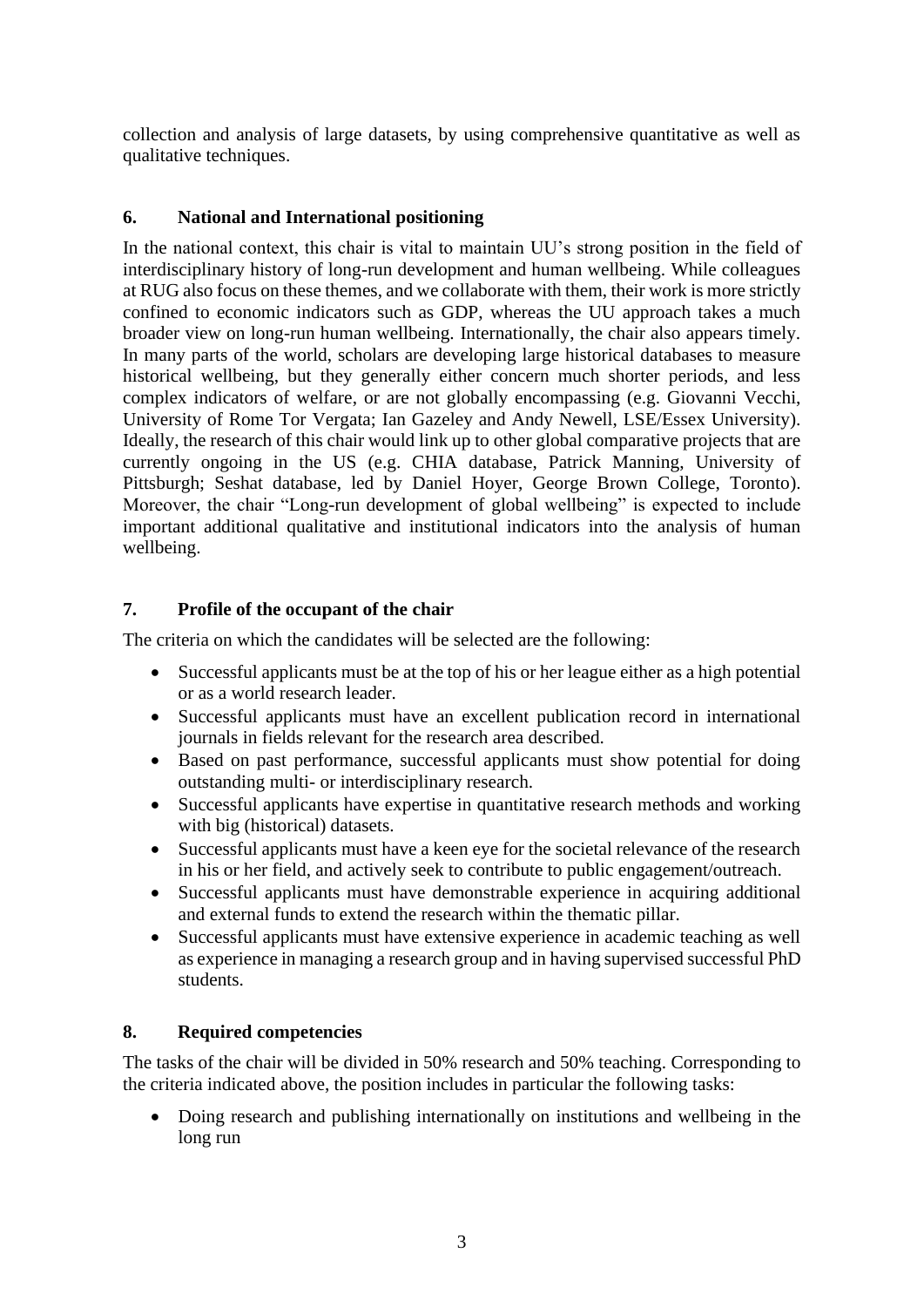collection and analysis of large datasets, by using comprehensive quantitative as well as qualitative techniques.

## **6. National and International positioning**

In the national context, this chair is vital to maintain UU's strong position in the field of interdisciplinary history of long-run development and human wellbeing. While colleagues at RUG also focus on these themes, and we collaborate with them, their work is more strictly confined to economic indicators such as GDP, whereas the UU approach takes a much broader view on long-run human wellbeing. Internationally, the chair also appears timely. In many parts of the world, scholars are developing large historical databases to measure historical wellbeing, but they generally either concern much shorter periods, and less complex indicators of welfare, or are not globally encompassing (e.g. Giovanni Vecchi, University of Rome Tor Vergata; Ian Gazeley and Andy Newell, LSE/Essex University). Ideally, the research of this chair would link up to other global comparative projects that are currently ongoing in the US (e.g. CHIA database, Patrick Manning, University of Pittsburgh; Seshat database, led by Daniel Hoyer, George Brown College, Toronto). Moreover, the chair "Long-run development of global wellbeing" is expected to include important additional qualitative and institutional indicators into the analysis of human wellbeing.

# **7. Profile of the occupant of the chair**

The criteria on which the candidates will be selected are the following:

- Successful applicants must be at the top of his or her league either as a high potential or as a world research leader.
- Successful applicants must have an excellent publication record in international journals in fields relevant for the research area described.
- Based on past performance, successful applicants must show potential for doing outstanding multi- or interdisciplinary research.
- Successful applicants have expertise in quantitative research methods and working with big (historical) datasets.
- Successful applicants must have a keen eye for the societal relevance of the research in his or her field, and actively seek to contribute to public engagement/outreach.
- Successful applicants must have demonstrable experience in acquiring additional and external funds to extend the research within the thematic pillar.
- Successful applicants must have extensive experience in academic teaching as well as experience in managing a research group and in having supervised successful PhD students.

## **8. Required competencies**

The tasks of the chair will be divided in 50% research and 50% teaching. Corresponding to the criteria indicated above, the position includes in particular the following tasks:

• Doing research and publishing internationally on institutions and wellbeing in the long run